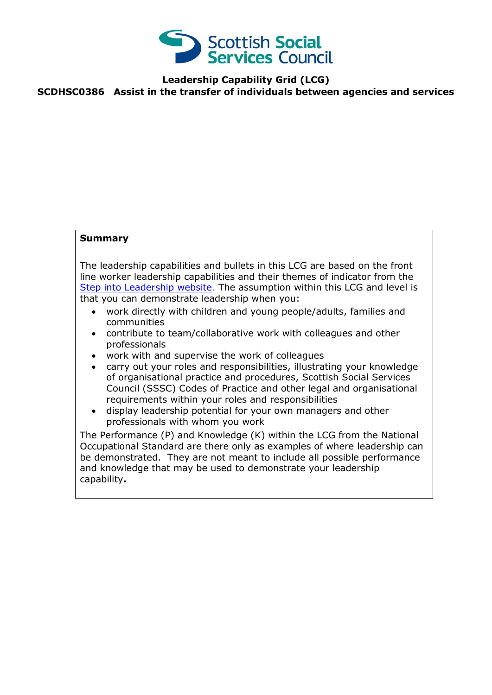

**Leadership Capability Grid (LCG)**

**SCDHSC0386 Assist in the transfer of individuals between agencies and services**

## **Summary**

The leadership capabilities and bullets in this LCG are based on the front line worker leadership capabilities and their themes of indicator from the [Step into Leadership website.](http://www.stepintoleadership.info/) The assumption within this LCG and level is that you can demonstrate leadership when you:

- work directly with children and young people/adults, families and communities
- contribute to team/collaborative work with colleagues and other professionals
- work with and supervise the work of colleagues
- carry out your roles and responsibilities, illustrating your knowledge of organisational practice and procedures, Scottish Social Services Council (SSSC) Codes of Practice and other legal and organisational requirements within your roles and responsibilities
- display leadership potential for your own managers and other professionals with whom you work

The Performance (P) and Knowledge (K) within the LCG from the National Occupational Standard are there only as examples of where leadership can be demonstrated. They are not meant to include all possible performance and knowledge that may be used to demonstrate your leadership capability**.**